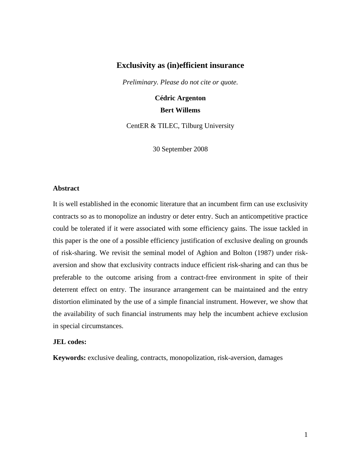# **Exclusivity as (in)efficient insurance**

*Preliminary. Please do not cite or quote.* 

**Cédric Argenton Bert Willems** 

CentER & TILEC, Tilburg University

30 September 2008

#### **Abstract**

It is well established in the economic literature that an incumbent firm can use exclusivity contracts so as to monopolize an industry or deter entry. Such an anticompetitive practice could be tolerated if it were associated with some efficiency gains. The issue tackled in this paper is the one of a possible efficiency justification of exclusive dealing on grounds of risk-sharing. We revisit the seminal model of Aghion and Bolton (1987) under riskaversion and show that exclusivity contracts induce efficient risk-sharing and can thus be preferable to the outcome arising from a contract-free environment in spite of their deterrent effect on entry. The insurance arrangement can be maintained and the entry distortion eliminated by the use of a simple financial instrument. However, we show that the availability of such financial instruments may help the incumbent achieve exclusion in special circumstances.

#### **JEL codes:**

**Keywords:** exclusive dealing, contracts, monopolization, risk-aversion, damages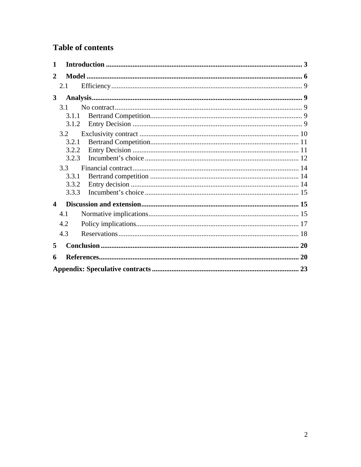# **Table of contents**

| 1                       |                |  |  |  |
|-------------------------|----------------|--|--|--|
| 2                       |                |  |  |  |
|                         | 2.1            |  |  |  |
| $\mathbf{3}$            |                |  |  |  |
|                         | 3.1            |  |  |  |
|                         | 3.1.1          |  |  |  |
|                         | 3.1.2          |  |  |  |
|                         | 3.2            |  |  |  |
|                         | 3.2.1          |  |  |  |
|                         | 3.2.2<br>3.2.3 |  |  |  |
|                         | 3.3            |  |  |  |
|                         | 3.3.1          |  |  |  |
|                         | 3.3.2          |  |  |  |
|                         | 3.3.3          |  |  |  |
| $\overline{\mathbf{4}}$ |                |  |  |  |
|                         | 4.1            |  |  |  |
|                         | 4.2            |  |  |  |
|                         | 4.3            |  |  |  |
| 5                       |                |  |  |  |
| 6                       |                |  |  |  |
|                         |                |  |  |  |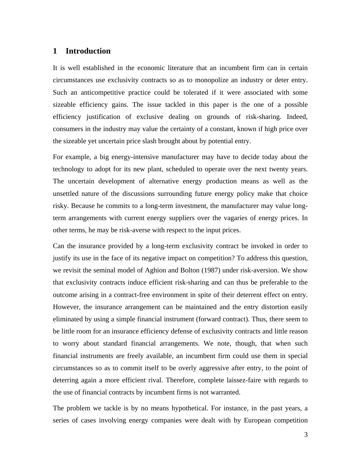## **1 Introduction**

It is well established in the economic literature that an incumbent firm can in certain circumstances use exclusivity contracts so as to monopolize an industry or deter entry. Such an anticompetitive practice could be tolerated if it were associated with some sizeable efficiency gains. The issue tackled in this paper is the one of a possible efficiency justification of exclusive dealing on grounds of risk-sharing. Indeed, consumers in the industry may value the certainty of a constant, known if high price over the sizeable yet uncertain price slash brought about by potential entry.

For example, a big energy-intensive manufacturer may have to decide today about the technology to adopt for its new plant, scheduled to operate over the next twenty years. The uncertain development of alternative energy production means as well as the unsettled nature of the discussions surrounding future energy policy make that choice risky. Because he commits to a long-term investment, the manufacturer may value longterm arrangements with current energy suppliers over the vagaries of energy prices. In other terms, he may be risk-averse with respect to the input prices.

Can the insurance provided by a long-term exclusivity contract be invoked in order to justify its use in the face of its negative impact on competition? To address this question, we revisit the seminal model of Aghion and Bolton (1987) under risk-aversion. We show that exclusivity contracts induce efficient risk-sharing and can thus be preferable to the outcome arising in a contract-free environment in spite of their deterrent effect on entry. However, the insurance arrangement can be maintained and the entry distortion easily eliminated by using a simple financial instrument (forward contract). Thus, there seem to be little room for an insurance efficiency defense of exclusivity contracts and little reason to worry about standard financial arrangements. We note, though, that when such financial instruments are freely available, an incumbent firm could use them in special circumstances so as to commit itself to be overly aggressive after entry, to the point of deterring again a more efficient rival. Therefore, complete laissez-faire with regards to the use of financial contracts by incumbent firms is not warranted.

The problem we tackle is by no means hypothetical. For instance, in the past years, a series of cases involving energy companies were dealt with by European competition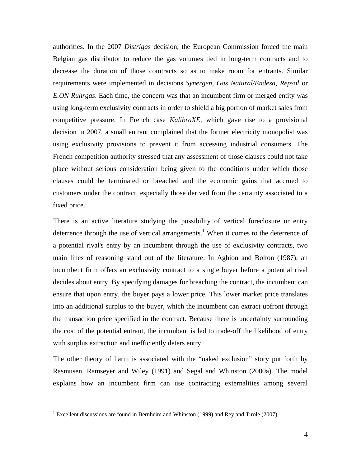authorities. In the 2007 *Distrigas* decision, the European Commission forced the main Belgian gas distributor to reduce the gas volumes tied in long-term contracts and to decrease the duration of those comtracts so as to make room for entrants. Similar requirements were implemented in decisions *Synergen*, *Gas Natural/Endesa*, *Repsol* or *E.ON Ruhrgas*. Each time, the concern was that an incumbent firm or merged entity was using long-term exclusivity contracts in order to shield a big portion of market sales from competitive pressure. In French case *KalibraXE*, which gave rise to a provisional decision in 2007, a small entrant complained that the former electricity monopolist was using exclusivity provisions to prevent it from accessing industrial consumers. The French competition authority stressed that any assessment of those clauses could not take place without serious consideration being given to the conditions under which those clauses could be terminated or breached and the economic gains that accrued to customers under the contract, especially those derived from the certainty associated to a fixed price.

There is an active literature studying the possibility of vertical foreclosure or entry deterrence through the use of vertical arrangements.<sup>1</sup> When it comes to the deterrence of a potential rival's entry by an incumbent through the use of exclusivity contracts, two main lines of reasoning stand out of the literature. In Aghion and Bolton (1987), an incumbent firm offers an exclusivity contract to a single buyer before a potential rival decides about entry. By specifying damages for breaching the contract, the incumbent can ensure that upon entry, the buyer pays a lower price. This lower market price translates into an additional surplus to the buyer, which the incumbent can extract upfront through the transaction price specified in the contract. Because there is uncertainty surrounding the cost of the potential entrant, the incumbent is led to trade-off the likelihood of entry with surplus extraction and inefficiently deters entry.

The other theory of harm is associated with the "naked exclusion" story put forth by Rasmusen, Ramseyer and Wiley (1991) and Segal and Whinston (2000a). The model explains how an incumbent firm can use contracting externalities among several

 $\overline{a}$ 

<sup>&</sup>lt;sup>1</sup> Excellent discussions are found in Bernheim and Whinston (1999) and Rey and Tirole (2007).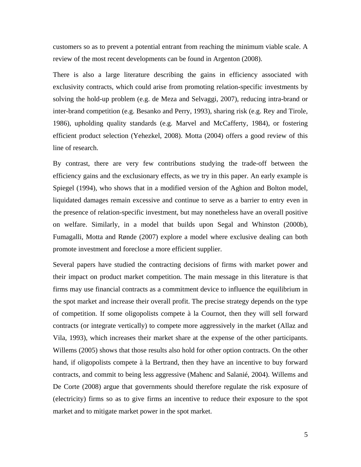customers so as to prevent a potential entrant from reaching the minimum viable scale. A review of the most recent developments can be found in Argenton (2008).

There is also a large literature describing the gains in efficiency associated with exclusivity contracts, which could arise from promoting relation-specific investments by solving the hold-up problem (e.g. de Meza and Selvaggi, 2007), reducing intra-brand or inter-brand competition (e.g. Besanko and Perry, 1993), sharing risk (e.g. Rey and Tirole, 1986), upholding quality standards (e.g. Marvel and McCafferty, 1984), or fostering efficient product selection (Yehezkel, 2008). Motta (2004) offers a good review of this line of research.

By contrast, there are very few contributions studying the trade-off between the efficiency gains and the exclusionary effects, as we try in this paper. An early example is Spiegel (1994), who shows that in a modified version of the Aghion and Bolton model, liquidated damages remain excessive and continue to serve as a barrier to entry even in the presence of relation-specific investment, but may nonetheless have an overall positive on welfare. Similarly, in a model that builds upon Segal and Whinston (2000b), Fumagalli, Motta and Rønde (2007) explore a model where exclusive dealing can both promote investment and foreclose a more efficient supplier.

Several papers have studied the contracting decisions of firms with market power and their impact on product market competition. The main message in this literature is that firms may use financial contracts as a commitment device to influence the equilibrium in the spot market and increase their overall profit. The precise strategy depends on the type of competition. If some oligopolists compete à la Cournot, then they will sell forward contracts (or integrate vertically) to compete more aggressively in the market (Allaz and Vila, 1993), which increases their market share at the expense of the other participants. Willems (2005) shows that those results also hold for other option contracts. On the other hand, if oligopolists compete à la Bertrand, then they have an incentive to buy forward contracts, and commit to being less aggressive (Mahenc and Salanié, 2004). Willems and De Corte (2008) argue that governments should therefore regulate the risk exposure of (electricity) firms so as to give firms an incentive to reduce their exposure to the spot market and to mitigate market power in the spot market.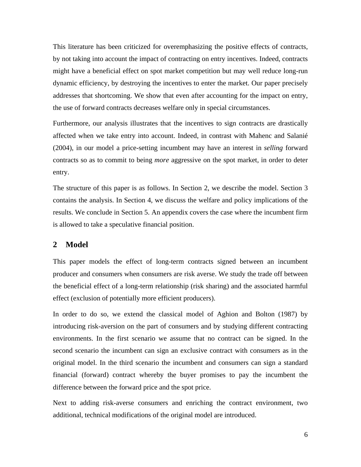This literature has been criticized for overemphasizing the positive effects of contracts, by not taking into account the impact of contracting on entry incentives. Indeed, contracts might have a beneficial effect on spot market competition but may well reduce long-run dynamic efficiency, by destroying the incentives to enter the market. Our paper precisely addresses that shortcoming. We show that even after accounting for the impact on entry, the use of forward contracts decreases welfare only in special circumstances.

Furthermore, our analysis illustrates that the incentives to sign contracts are drastically affected when we take entry into account. Indeed, in contrast with Mahenc and Salanié (2004), in our model a price-setting incumbent may have an interest in *selling* forward contracts so as to commit to being *more* aggressive on the spot market, in order to deter entry.

The structure of this paper is as follows. In Section 2, we describe the model. Section 3 contains the analysis. In Section 4, we discuss the welfare and policy implications of the results. We conclude in Section 5. An appendix covers the case where the incumbent firm is allowed to take a speculative financial position.

## **2 Model**

This paper models the effect of long-term contracts signed between an incumbent producer and consumers when consumers are risk averse. We study the trade off between the beneficial effect of a long-term relationship (risk sharing) and the associated harmful effect (exclusion of potentially more efficient producers).

In order to do so, we extend the classical model of Aghion and Bolton (1987) by introducing risk-aversion on the part of consumers and by studying different contracting environments. In the first scenario we assume that no contract can be signed. In the second scenario the incumbent can sign an exclusive contract with consumers as in the original model. In the third scenario the incumbent and consumers can sign a standard financial (forward) contract whereby the buyer promises to pay the incumbent the difference between the forward price and the spot price.

Next to adding risk-averse consumers and enriching the contract environment, two additional, technical modifications of the original model are introduced.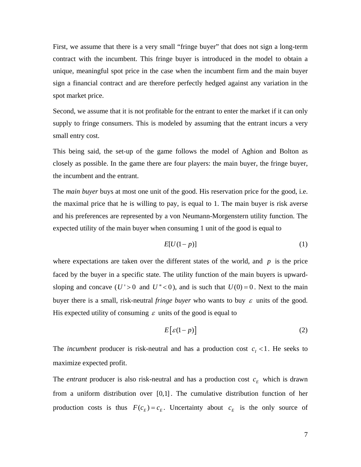First, we assume that there is a very small "fringe buyer" that does not sign a long-term contract with the incumbent. This fringe buyer is introduced in the model to obtain a unique, meaningful spot price in the case when the incumbent firm and the main buyer sign a financial contract and are therefore perfectly hedged against any variation in the spot market price.

Second, we assume that it is not profitable for the entrant to enter the market if it can only supply to fringe consumers. This is modeled by assuming that the entrant incurs a very small entry cost.

This being said, the set-up of the game follows the model of Aghion and Bolton as closely as possible. In the game there are four players: the main buyer, the fringe buyer, the incumbent and the entrant.

The *main buyer* buys at most one unit of the good. His reservation price for the good, i.e. the maximal price that he is willing to pay, is equal to 1. The main buyer is risk averse and his preferences are represented by a von Neumann-Morgenstern utility function. The expected utility of the main buyer when consuming 1 unit of the good is equal to

$$
E[U(1-p)]\tag{1}
$$

where expectations are taken over the different states of the world, and  $p$  is the price faced by the buyer in a specific state. The utility function of the main buyers is upwardsloping and concave  $(U' > 0$  and  $U'' < 0$ ), and is such that  $U(0) = 0$ . Next to the main buyer there is a small, risk-neutral *fringe buyer* who wants to buy  $\varepsilon$  units of the good. His expected utility of consuming  $\varepsilon$  units of the good is equal to

$$
E\big[\varepsilon(1-p)\big] \tag{2}
$$

The *incumbent* producer is risk-neutral and has a production cost  $c<sub>I</sub> < 1$ . He seeks to maximize expected profit.

The *entrant* producer is also risk-neutral and has a production cost  $c<sub>E</sub>$  which is drawn from a uniform distribution over [0,1] . The cumulative distribution function of her production costs is thus  $F(c_E) = c_E$ . Uncertainty about  $c_E$  is the only source of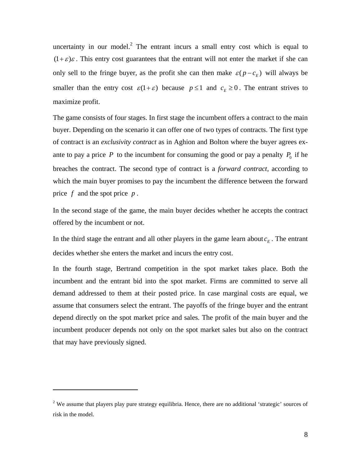uncertainty in our model. $2$  The entrant incurs a small entry cost which is equal to  $(1+\varepsilon)\varepsilon$ . This entry cost guarantees that the entrant will not enter the market if she can only sell to the fringe buyer, as the profit she can then make  $\varepsilon (p - c_E)$  will always be smaller than the entry cost  $\varepsilon(1+\varepsilon)$  because  $p \le 1$  and  $c_E \ge 0$ . The entrant strives to maximize profit.

The game consists of four stages. In first stage the incumbent offers a contract to the main buyer. Depending on the scenario it can offer one of two types of contracts. The first type of contract is an *exclusivity contract* as in Aghion and Bolton where the buyer agrees exante to pay a price *P* to the incumbent for consuming the good or pay a penalty  $P_0$  if he breaches the contract. The second type of contract is a *forward contract,* according to which the main buyer promises to pay the incumbent the difference between the forward price *f* and the spot price *p* .

In the second stage of the game, the main buyer decides whether he accepts the contract offered by the incumbent or not.

In the third stage the entrant and all other players in the game learn about  $c<sub>E</sub>$ . The entrant decides whether she enters the market and incurs the entry cost.

In the fourth stage, Bertrand competition in the spot market takes place. Both the incumbent and the entrant bid into the spot market. Firms are committed to serve all demand addressed to them at their posted price. In case marginal costs are equal, we assume that consumers select the entrant. The payoffs of the fringe buyer and the entrant depend directly on the spot market price and sales. The profit of the main buyer and the incumbent producer depends not only on the spot market sales but also on the contract that may have previously signed.

 $\overline{a}$ 

<sup>&</sup>lt;sup>2</sup> We assume that players play pure strategy equilibria. Hence, there are no additional 'strategic' sources of risk in the model.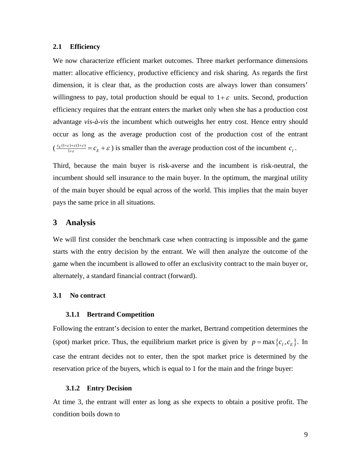#### **2.1 Efficiency**

We now characterize efficient market outcomes. Three market performance dimensions matter: allocative efficiency, productive efficiency and risk sharing. As regards the first dimension, it is clear that, as the production costs are always lower than consumers' willingness to pay, total production should be equal to  $1+\varepsilon$  units. Second, production efficiency requires that the entrant enters the market only when she has a production cost advantage *vis-à-vis* the incumbent which outweighs her entry cost. Hence entry should occur as long as the average production cost of the production cost of the entrant  $\left(\frac{c_E(1+\varepsilon)+\varepsilon(1+\varepsilon)}{1+\varepsilon}=c_E+\varepsilon\right)$  is smaller than the average production cost of the incumbent  $c_I$ .

Third, because the main buyer is risk-averse and the incumbent is risk-neutral, the incumbent should sell insurance to the main buyer. In the optimum, the marginal utility of the main buyer should be equal across of the world. This implies that the main buyer pays the same price in all situations.

## **3 Analysis**

We will first consider the benchmark case when contracting is impossible and the game starts with the entry decision by the entrant. We will then analyze the outcome of the game when the incumbent is allowed to offer an exclusivity contract to the main buyer or, alternately, a standard financial contract (forward).

#### **3.1 No contract**

#### **3.1.1 Bertrand Competition**

Following the entrant's decision to enter the market, Bertrand competition determines the (spot) market price. Thus, the equilibrium market price is given by  $p = \max\{c_1, c_E\}$ . In case the entrant decides not to enter, then the spot market price is determined by the reservation price of the buyers, which is equal to 1 for the main and the fringe buyer:

#### **3.1.2 Entry Decision**

At time 3, the entrant will enter as long as she expects to obtain a positive profit. The condition boils down to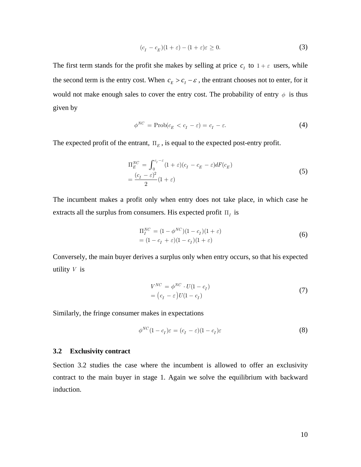$$
(c_I - c_E)(1 + \varepsilon) - (1 + \varepsilon)\varepsilon \ge 0.
$$
\n(3)

The first term stands for the profit she makes by selling at price  $c<sub>l</sub>$  to  $1 + \varepsilon$  users, while the second term is the entry cost. When  $c_E > c_I - \varepsilon$ , the entrant chooses not to enter, for it would not make enough sales to cover the entry cost. The probability of entry  $\phi$  is thus given by

$$
\phi^{NC} = \text{Prob}(c_E < c_I - \varepsilon) = c_I - \varepsilon. \tag{4}
$$

The expected profit of the entrant,  $\Pi_E$ , is equal to the expected post-entry profit.

$$
\Pi_E^{NC} = \int_0^{c_I - \varepsilon} (1 + \varepsilon)(c_I - c_E - \varepsilon) dF(c_E)
$$
  
= 
$$
\frac{(c_I - \varepsilon)^2}{2} (1 + \varepsilon)
$$
 (5)

The incumbent makes a profit only when entry does not take place, in which case he extracts all the surplus from consumers. His expected profit Π*I* is

$$
\Pi_I^{NC} = (1 - \phi^{NC})(1 - c_I)(1 + \varepsilon)
$$
  
=  $(1 - c_I + \varepsilon)(1 - c_I)(1 + \varepsilon)$  (6)

Conversely, the main buyer derives a surplus only when entry occurs, so that his expected utility *V* is

$$
V^{NC} = \phi^{NC} \cdot U(1 - c_I)
$$
  
=  $(c_I - \varepsilon)U(1 - c_I)$  (7)

Similarly, the fringe consumer makes in expectations

$$
\phi^{NC}(1-c_I)\varepsilon = (c_I - \varepsilon)(1-c_I)\varepsilon \tag{8}
$$

#### **3.2 Exclusivity contract**

Section 3.2 studies the case where the incumbent is allowed to offer an exclusivity contract to the main buyer in stage 1. Again we solve the equilibrium with backward induction.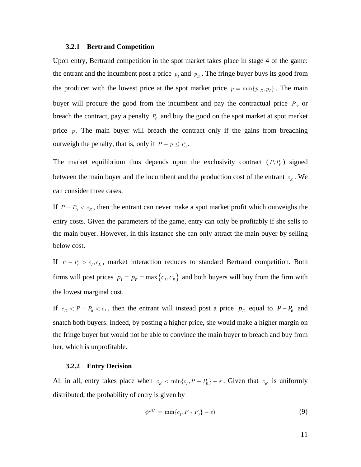#### **3.2.1 Bertrand Competition**

Upon entry, Bertrand competition in the spot market takes place in stage 4 of the game: the entrant and the incumbent post a price  $p_I$  and  $p_E$ . The fringe buyer buys its good from the producer with the lowest price at the spot market price  $p = \min\{p_{E}, p_{I}\}\.$  The main buyer will procure the good from the incumbent and pay the contractual price *P* , or breach the contract, pay a penalty  $P_0$  and buy the good on the spot market at spot market price  $p$ . The main buyer will breach the contract only if the gains from breaching outweigh the penalty, that is, only if  $P - p \leq P_0$ .

The market equilibrium thus depends upon the exclusivity contract  $(P, P_0)$  signed between the main buyer and the incumbent and the production cost of the entrant  $c_E$ . We can consider three cases.

If  $P - P_0 < c_E$ , then the entrant can never make a spot market profit which outweighs the entry costs. Given the parameters of the game, entry can only be profitably if she sells to the main buyer. However, in this instance she can only attract the main buyer by selling below cost.

If  $P - P_0 > c_I, c_E$ , market interaction reduces to standard Bertrand competition. Both firms will post prices  $p_1 = p_E = \max\{c_I, c_E\}$  and both buyers will buy from the firm with the lowest marginal cost.

If  $c_E < P - P_0 < c_I$ , then the entrant will instead post a price  $p_E$  equal to  $P - P_0$  and snatch both buyers. Indeed, by posting a higher price, she would make a higher margin on the fringe buyer but would not be able to convince the main buyer to breach and buy from her, which is unprofitable.

#### **3.2.2 Entry Decision**

All in all, entry takes place when  $c_E < \min\{c_I, P - P_0\} - \varepsilon$ . Given that  $c_E$  is uniformly distributed, the probability of entry is given by

$$
\phi^{EC} = \min\{c_I, P \cdot P_0\} - \varepsilon)
$$
\n(9)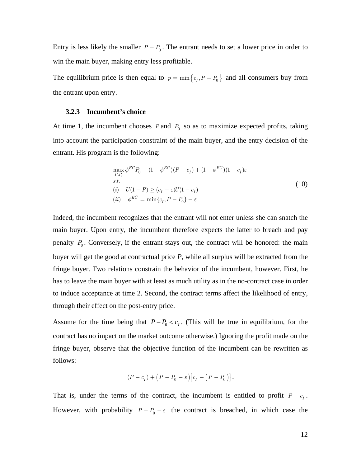Entry is less likely the smaller  $P - P_0$ . The entrant needs to set a lower price in order to win the main buyer, making entry less profitable.

The equilibrium price is then equal to  $p = \min\{c_I, P - P_0\}$  and all consumers buy from the entrant upon entry.

#### **3.2.3 Incumbent's choice**

At time 1, the incumbent chooses  $P$  and  $P_0$  so as to maximize expected profits, taking into account the participation constraint of the main buyer, and the entry decision of the entrant. His program is the following:

$$
\max_{P,P_0} \phi^{EC} P_0 + (1 - \phi^{EC})(P - c_I) + (1 - \phi^{EC})(1 - c_I)\varepsilon
$$
  
s.t.  
(i) 
$$
U(1 - P) \ge (c_I - \varepsilon)U(1 - c_I)
$$
  
(ii) 
$$
\phi^{EC} = \min\{c_I, P - P_0\} - \varepsilon
$$
 (10)

Indeed, the incumbent recognizes that the entrant will not enter unless she can snatch the main buyer. Upon entry, the incumbent therefore expects the latter to breach and pay penalty  $P_0$ . Conversely, if the entrant stays out, the contract will be honored: the main buyer will get the good at contractual price *P*, while all surplus will be extracted from the fringe buyer. Two relations constrain the behavior of the incumbent, however. First, he has to leave the main buyer with at least as much utility as in the no-contract case in order to induce acceptance at time 2. Second, the contract terms affect the likelihood of entry, through their effect on the post-entry price.

Assume for the time being that  $P-P_0 < c_1$ . (This will be true in equilibrium, for the contract has no impact on the market outcome otherwise.) Ignoring the profit made on the fringe buyer, observe that the objective function of the incumbent can be rewritten as follows:

$$
(P - c_I) + (P - P_0 - \varepsilon) [c_I - (P - P_0)].
$$

That is, under the terms of the contract, the incumbent is entitled to profit  $P - c_I$ . However, with probability  $P - P_0 - \varepsilon$  the contract is breached, in which case the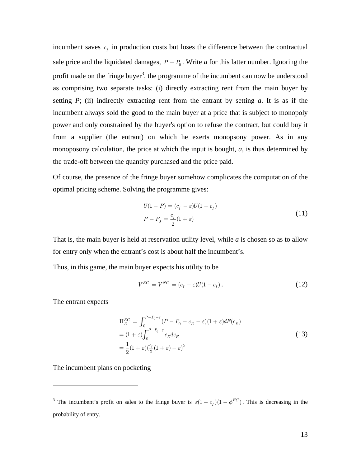incumbent saves  $c_I$  in production costs but loses the difference between the contractual sale price and the liquidated damages,  $P - P_0$ . Write *a* for this latter number. Ignoring the profit made on the fringe buyer<sup>3</sup>, the programme of the incumbent can now be understood as comprising two separate tasks: (i) directly extracting rent from the main buyer by setting  $P$ ; (ii) indirectly extracting rent from the entrant by setting  $a$ . It is as if the incumbent always sold the good to the main buyer at a price that is subject to monopoly power and only constrained by the buyer's option to refuse the contract, but could buy it from a supplier (the entrant) on which he exerts monopsony power. As in any monoposony calculation, the price at which the input is bought, *a*, is thus determined by the trade-off between the quantity purchased and the price paid.

Of course, the presence of the fringe buyer somehow complicates the computation of the optimal pricing scheme. Solving the programme gives:

$$
U(1 - P) = (c_I - \varepsilon)U(1 - c_I)
$$
  
\n
$$
P - P_0 = \frac{c_I}{2}(1 + \varepsilon)
$$
\n(11)

That is, the main buyer is held at reservation utility level, while *a* is chosen so as to allow for entry only when the entrant's cost is about half the incumbent's.

Thus, in this game, the main buyer expects his utility to be

$$
V^{EC} = V^{NC} = (c_I - \varepsilon)U(1 - c_I). \tag{12}
$$

The entrant expects

 $\overline{a}$ 

$$
\Pi_E^{EC} = \int_0^{P-P_0-\epsilon} (P - P_0 - c_E - \varepsilon)(1 + \varepsilon) dF(c_E)
$$
  
=  $(1 + \varepsilon) \int_0^{P-P_0-\varepsilon} c_E d c_E$   
=  $\frac{1}{2} (1 + \varepsilon) (\frac{c_I}{2} (1 + \varepsilon) - \varepsilon)^2$  (13)

The incumbent plans on pocketing

<sup>&</sup>lt;sup>3</sup> The incumbent's profit on sales to the fringe buyer is  $\varepsilon (1 - c_I)(1 - \phi^{EC})$ . This is decreasing in the probability of entry.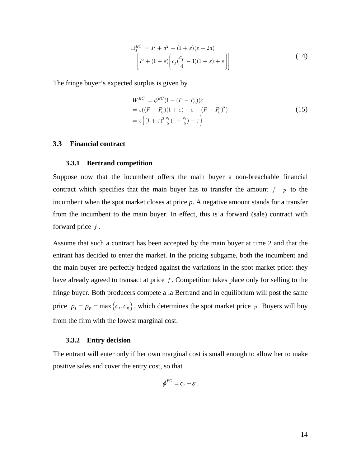$$
\Pi_I^{EC} = P + a^2 + (1 + \varepsilon)(\varepsilon - 2a)
$$
  
= 
$$
\left[ P + (1 + \varepsilon) \left( c_I \left( \frac{c_I}{4} - 1 \right) (1 + \varepsilon) + \varepsilon \right) \right]
$$
 (14)

The fringe buyer's expected surplus is given by

$$
W^{EC} = \phi^{EC} (1 - (P - P_0))\varepsilon
$$
  
=  $\varepsilon ((P - P_0)(1 + \varepsilon) - \varepsilon - (P - P_0)^2)$   
=  $\varepsilon \left( (1 + \varepsilon)^2 \frac{c_I}{2} (1 - \frac{c_I}{2}) - \varepsilon \right)$  (15)

#### **3.3 Financial contract**

#### **3.3.1 Bertrand competition**

Suppose now that the incumbent offers the main buyer a non-breachable financial contract which specifies that the main buyer has to transfer the amount  $f - p$  to the incumbent when the spot market closes at price *p*. A negative amount stands for a transfer from the incumbent to the main buyer. In effect, this is a forward (sale) contract with forward price *f* .

Assume that such a contract has been accepted by the main buyer at time 2 and that the entrant has decided to enter the market. In the pricing subgame, both the incumbent and the main buyer are perfectly hedged against the variations in the spot market price: they have already agreed to transact at price *f* . Competition takes place only for selling to the fringe buyer. Both producers compete a la Bertrand and in equilibrium will post the same price  $p_1 = p_E = \max\{c_I, c_E\}$ , which determines the spot market price *p*. Buyers will buy from the firm with the lowest marginal cost.

#### **3.3.2 Entry decision**

The entrant will enter only if her own marginal cost is small enough to allow her to make positive sales and cover the entry cost, so that

$$
\phi^{FC} = c_I - \varepsilon.
$$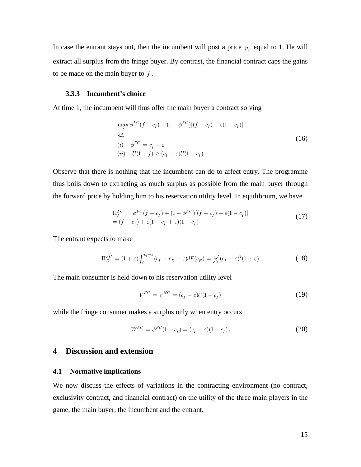In case the entrant stays out, then the incumbent will post a price  $p_I$  equal to 1. He will extract all surplus from the fringe buyer. By contrast, the financial contract caps the gains to be made on the main buyer to *f* .

#### **3.3.3 Incumbent's choice**

At time 1, the incumbent will thus offer the main buyer a contract solving

$$
\max_{f} \phi^{FC}(f - c_I) + (1 - \phi^{FC})[(f - c_I) + \varepsilon(1 - c_I)]
$$
  
s.t.  
(i) 
$$
\phi^{FC} = c_I - \varepsilon
$$
  
(ii) 
$$
U(1 - f) \ge (c_I - \varepsilon)U(1 - c_I)
$$
 (16)

Observe that there is nothing that the incumbent can do to affect entry. The programme thus boils down to extracting as much surplus as possible from the main buyer through the forward price by holding him to his reservation utility level. In equilibrium, we have

$$
\Pi_I^{FC} = \phi^{FC} (f - c_I) + (1 - \phi^{FC})[(f - c_I) + \varepsilon (1 - c_I)] \n= (f - c_I) + \varepsilon (1 - c_I + \varepsilon)(1 - c_I)
$$
\n(17)

The entrant expects to make

$$
\Pi_E^{FC} = (1+\varepsilon) \int_0^{c_I - \varepsilon} (c_I - c_E - \varepsilon) dF(c_E) = \frac{1}{2} (c_I - \varepsilon)^2 (1+\varepsilon)
$$
\n(18)

The main consumer is held down to his reservation utility level

$$
V^{FC} = V^{NC} = (c_I - \varepsilon)U(1 - c_I)
$$
\n(19)

while the fringe consumer makes a surplus only when entry occurs

$$
W^{FC} = \phi^{FC} (1 - c_I) = (c_I - \varepsilon)(1 - c_I). \tag{20}
$$

## **4 Discussion and extension**

#### **4.1 Normative implications**

We now discuss the effects of variations in the contracting environment (no contract, exclusivity contract, and financial contract) on the utility of the three main players in the game, the main buyer, the incumbent and the entrant.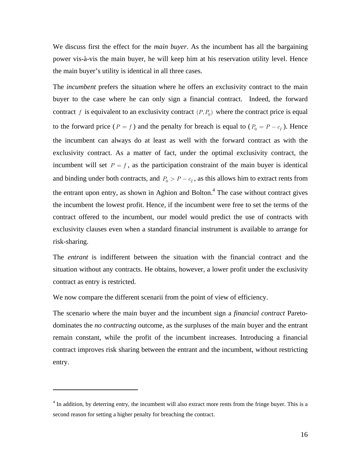We discuss first the effect for the *main buyer*. As the incumbent has all the bargaining power vis-à-vis the main buyer, he will keep him at his reservation utility level. Hence the main buyer's utility is identical in all three cases.

The *incumbent* prefers the situation where he offers an exclusivity contract to the main buyer to the case where he can only sign a financial contract. Indeed, the forward contract f is equivalent to an exclusivity contract  $(P, P_0)$  where the contract price is equal to the forward price ( $P = f$ ) and the penalty for breach is equal to ( $P_0 = P - c_I$ ). Hence the incumbent can always do at least as well with the forward contract as with the exclusivity contract. As a matter of fact, under the optimal exclusivity contract, the incumbent will set  $P = f$ , as the participation constraint of the main buyer is identical and binding under both contracts, and  $P_0 > P - c_I$ , as this allows him to extract rents from the entrant upon entry, as shown in Aghion and Bolton.<sup>4</sup> The case without contract gives the incumbent the lowest profit. Hence, if the incumbent were free to set the terms of the contract offered to the incumbent, our model would predict the use of contracts with exclusivity clauses even when a standard financial instrument is available to arrange for risk-sharing.

The *entrant* is indifferent between the situation with the financial contract and the situation without any contracts. He obtains, however, a lower profit under the exclusivity contract as entry is restricted.

We now compare the different scenarii from the point of view of efficiency.

 $\overline{a}$ 

The scenario where the main buyer and the incumbent sign a *financial contract* Paretodominates the *no contracting* outcome, as the surpluses of the main buyer and the entrant remain constant, while the profit of the incumbent increases. Introducing a financial contract improves risk sharing between the entrant and the incumbent, without restricting entry.

<sup>&</sup>lt;sup>4</sup> In addition, by deterring entry, the incumbent will also extract more rents from the fringe buyer. This is a second reason for setting a higher penalty for breaching the contract.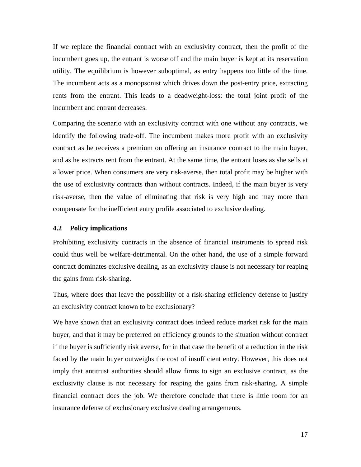If we replace the financial contract with an exclusivity contract, then the profit of the incumbent goes up, the entrant is worse off and the main buyer is kept at its reservation utility. The equilibrium is however suboptimal, as entry happens too little of the time. The incumbent acts as a monopsonist which drives down the post-entry price, extracting rents from the entrant. This leads to a deadweight-loss: the total joint profit of the incumbent and entrant decreases.

Comparing the scenario with an exclusivity contract with one without any contracts, we identify the following trade-off. The incumbent makes more profit with an exclusivity contract as he receives a premium on offering an insurance contract to the main buyer, and as he extracts rent from the entrant. At the same time, the entrant loses as she sells at a lower price. When consumers are very risk-averse, then total profit may be higher with the use of exclusivity contracts than without contracts. Indeed, if the main buyer is very risk-averse, then the value of eliminating that risk is very high and may more than compensate for the inefficient entry profile associated to exclusive dealing.

#### **4.2 Policy implications**

Prohibiting exclusivity contracts in the absence of financial instruments to spread risk could thus well be welfare-detrimental. On the other hand, the use of a simple forward contract dominates exclusive dealing, as an exclusivity clause is not necessary for reaping the gains from risk-sharing.

Thus, where does that leave the possibility of a risk-sharing efficiency defense to justify an exclusivity contract known to be exclusionary?

We have shown that an exclusivity contract does indeed reduce market risk for the main buyer, and that it may be preferred on efficiency grounds to the situation without contract if the buyer is sufficiently risk averse, for in that case the benefit of a reduction in the risk faced by the main buyer outweighs the cost of insufficient entry. However, this does not imply that antitrust authorities should allow firms to sign an exclusive contract, as the exclusivity clause is not necessary for reaping the gains from risk-sharing. A simple financial contract does the job. We therefore conclude that there is little room for an insurance defense of exclusionary exclusive dealing arrangements.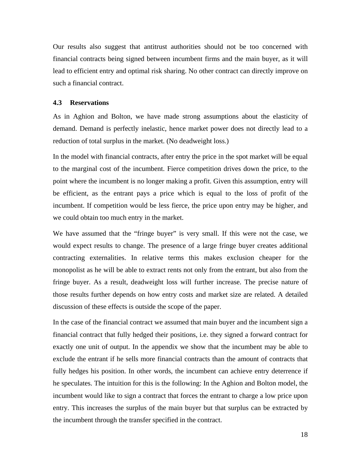Our results also suggest that antitrust authorities should not be too concerned with financial contracts being signed between incumbent firms and the main buyer, as it will lead to efficient entry and optimal risk sharing. No other contract can directly improve on such a financial contract.

#### **4.3 Reservations**

As in Aghion and Bolton, we have made strong assumptions about the elasticity of demand. Demand is perfectly inelastic, hence market power does not directly lead to a reduction of total surplus in the market. (No deadweight loss.)

In the model with financial contracts, after entry the price in the spot market will be equal to the marginal cost of the incumbent. Fierce competition drives down the price, to the point where the incumbent is no longer making a profit. Given this assumption, entry will be efficient, as the entrant pays a price which is equal to the loss of profit of the incumbent. If competition would be less fierce, the price upon entry may be higher, and we could obtain too much entry in the market.

We have assumed that the "fringe buyer" is very small. If this were not the case, we would expect results to change. The presence of a large fringe buyer creates additional contracting externalities. In relative terms this makes exclusion cheaper for the monopolist as he will be able to extract rents not only from the entrant, but also from the fringe buyer. As a result, deadweight loss will further increase. The precise nature of those results further depends on how entry costs and market size are related. A detailed discussion of these effects is outside the scope of the paper.

In the case of the financial contract we assumed that main buyer and the incumbent sign a financial contract that fully hedged their positions, i.e. they signed a forward contract for exactly one unit of output. In the appendix we show that the incumbent may be able to exclude the entrant if he sells more financial contracts than the amount of contracts that fully hedges his position. In other words, the incumbent can achieve entry deterrence if he speculates. The intuition for this is the following: In the Aghion and Bolton model, the incumbent would like to sign a contract that forces the entrant to charge a low price upon entry. This increases the surplus of the main buyer but that surplus can be extracted by the incumbent through the transfer specified in the contract.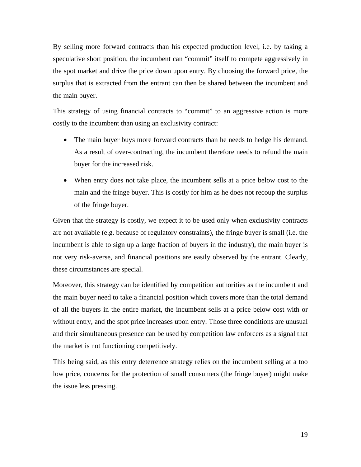By selling more forward contracts than his expected production level, i.e. by taking a speculative short position, the incumbent can "commit" itself to compete aggressively in the spot market and drive the price down upon entry. By choosing the forward price, the surplus that is extracted from the entrant can then be shared between the incumbent and the main buyer.

This strategy of using financial contracts to "commit" to an aggressive action is more costly to the incumbent than using an exclusivity contract:

- The main buyer buys more forward contracts than he needs to hedge his demand. As a result of over-contracting, the incumbent therefore needs to refund the main buyer for the increased risk.
- When entry does not take place, the incumbent sells at a price below cost to the main and the fringe buyer. This is costly for him as he does not recoup the surplus of the fringe buyer.

Given that the strategy is costly, we expect it to be used only when exclusivity contracts are not available (e.g. because of regulatory constraints), the fringe buyer is small (i.e. the incumbent is able to sign up a large fraction of buyers in the industry), the main buyer is not very risk-averse, and financial positions are easily observed by the entrant. Clearly, these circumstances are special.

Moreover, this strategy can be identified by competition authorities as the incumbent and the main buyer need to take a financial position which covers more than the total demand of all the buyers in the entire market, the incumbent sells at a price below cost with or without entry, and the spot price increases upon entry. Those three conditions are unusual and their simultaneous presence can be used by competition law enforcers as a signal that the market is not functioning competitively.

This being said, as this entry deterrence strategy relies on the incumbent selling at a too low price, concerns for the protection of small consumers (the fringe buyer) might make the issue less pressing.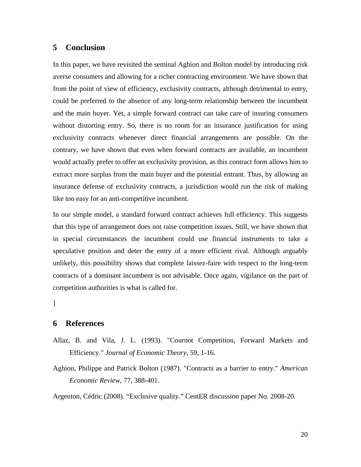# **5 Conclusion**

In this paper, we have revisited the seminal Aghion and Bolton model by introducing risk averse consumers and allowing for a richer contracting environment. We have shown that from the point of view of efficiency, exclusivity contracts, although detrimental to entry, could be preferred to the absence of any long-term relationship between the incumbent and the main buyer. Yet, a simple forward contract can take care of insuring consumers without distorting entry. So, there is no room for an insurance justification for using exclusivity contracts whenever direct financial arrangements are possible. On the contrary, we have shown that even when forward contracts are available, an incumbent would actually prefer to offer an exclusivity provision, as this contract form allows him to extract more surplus from the main buyer and the potential entrant. Thus, by allowing an insurance defense of exclusivity contracts, a jurisdiction would run the risk of making like too easy for an anti-competitive incumbent.

In our simple model, a standard forward contract achieves full efficiency. This suggests that this type of arrangement does not raise competition issues. Still, we have shown that in special circumstances the incumbent could use financial instruments to take a speculative position and deter the entry of a more efficient rival. Although arguably unlikely, this possibility shows that complete laissez-faire with respect to the long-term contracts of a dominant incumbent is not advisable. Once again, vigilance on the part of competition authorities is what is called for.

]

# **6 References**

- Allaz, B. and Vila, J. L. (1993). "Cournot Competition, Forward Markets and Efficiency." *Journal of Economic Theory*, 59, 1-16.
- Aghion, Philippe and Patrick Bolton (1987). "Contracts as a barrier to entry." *American Economic Review*, 77, 388-401.

Argenton, Cédric (2008). "Exclusive quality." CentER discussion paper No. 2008-20.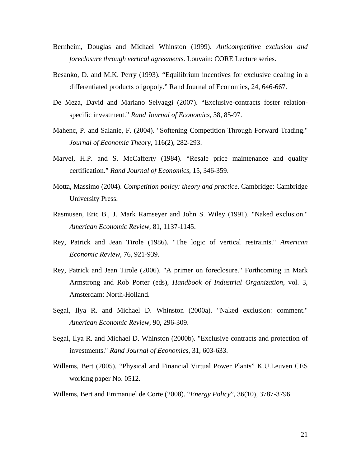- Bernheim, Douglas and Michael Whinston (1999). *Anticompetitive exclusion and foreclosure through vertical agreements.* Louvain: CORE Lecture series.
- Besanko, D. and M.K. Perry (1993). "Equilibrium incentives for exclusive dealing in a differentiated products oligopoly." Rand Journal of Economics, 24, 646-667.
- De Meza, David and Mariano Selvaggi (2007). "Exclusive-contracts foster relationspecific investment." *Rand Journal of Economics*, 38, 85-97.
- Mahenc, P. and Salanie, F. (2004). "Softening Competition Through Forward Trading." *Journal of Economic Theory*, 116(2), 282-293.
- Marvel, H.P. and S. McCafferty (1984). "Resale price maintenance and quality certification." *Rand Journal of Economics*, 15, 346-359.
- Motta, Massimo (2004). *Competition policy: theory and practice*. Cambridge: Cambridge University Press.
- Rasmusen, Eric B., J. Mark Ramseyer and John S. Wiley (1991). "Naked exclusion." *American Economic Review*, 81, 1137-1145.
- Rey, Patrick and Jean Tirole (1986). "The logic of vertical restraints." *American Economic Review*, 76, 921-939.
- Rey, Patrick and Jean Tirole (2006). "A primer on foreclosure." Forthcoming in Mark Armstrong and Rob Porter (eds), *Handbook of Industrial Organization*, vol. 3, Amsterdam: North-Holland.
- Segal, Ilya R. and Michael D. Whinston (2000a). "Naked exclusion: comment." *American Economic Review*, 90, 296-309.
- Segal, Ilya R. and Michael D. Whinston (2000b). "Exclusive contracts and protection of investments." *Rand Journal of Economics*, 31, 603-633.
- Willems, Bert (2005). "Physical and Financial Virtual Power Plants" K.U.Leuven CES working paper No. 0512.
- Willems, Bert and Emmanuel de Corte (2008). "*Energy Policy*", 36(10), 3787-3796.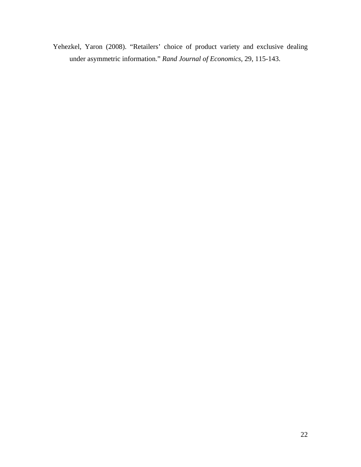Yehezkel, Yaron (2008). "Retailers' choice of product variety and exclusive dealing under asymmetric information." *Rand Journal of Economics*, 29, 115-143.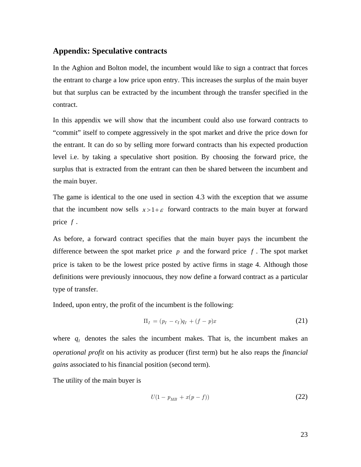## **Appendix: Speculative contracts**

In the Aghion and Bolton model, the incumbent would like to sign a contract that forces the entrant to charge a low price upon entry. This increases the surplus of the main buyer but that surplus can be extracted by the incumbent through the transfer specified in the contract.

In this appendix we will show that the incumbent could also use forward contracts to "commit" itself to compete aggressively in the spot market and drive the price down for the entrant. It can do so by selling more forward contracts than his expected production level i.e. by taking a speculative short position. By choosing the forward price, the surplus that is extracted from the entrant can then be shared between the incumbent and the main buyer.

The game is identical to the one used in section 4.3 with the exception that we assume that the incumbent now sells  $x > 1 + \varepsilon$  forward contracts to the main buyer at forward price *f* .

As before, a forward contract specifies that the main buyer pays the incumbent the difference between the spot market price *p* and the forward price *f* . The spot market price is taken to be the lowest price posted by active firms in stage 4. Although those definitions were previously innocuous, they now define a forward contract as a particular type of transfer.

Indeed, upon entry, the profit of the incumbent is the following:

$$
\Pi_I = (p_I - c_I)q_I + (f - p)x \tag{21}
$$

where  $q_i$  denotes the sales the incumbent makes. That is, the incumbent makes an *operational profit* on his activity as producer (first term) but he also reaps the *financial gains* associated to his financial position (second term).

The utility of the main buyer is

$$
U(1 - p_{MB} + x(p - f)) \tag{22}
$$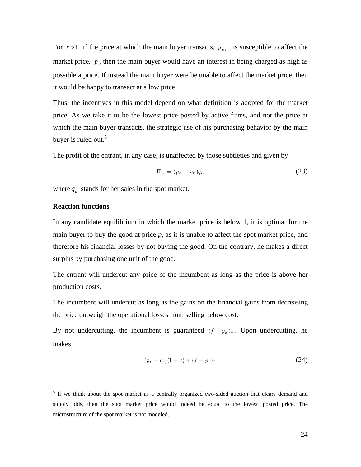For  $x > 1$ , if the price at which the main buyer transacts,  $p_{MB}$ , is susceptible to affect the market price,  $p$ , then the main buyer would have an interest in being charged as high as possible a price. If instead the main buyer were be unable to affect the market price, then it would be happy to transact at a low price.

Thus, the incentives in this model depend on what definition is adopted for the market price. As we take it to be the lowest price posted by active firms, and not the price at which the main buyer transacts, the strategic use of his purchasing behavior by the main buyer is ruled out.<sup>5</sup>

The profit of the entrant, in any case, is unaffected by those subtleties and given by

$$
\Pi_E = (p_E - c_E)q_E \tag{23}
$$

where  $q_E$  stands for her sales in the spot market.

### **Reaction functions**

 $\overline{a}$ 

In any candidate equilibrium in which the market price is below 1, it is optimal for the main buyer to buy the good at price *p*, as it is unable to affect the spot market price, and therefore his financial losses by not buying the good. On the contrary, he makes a direct surplus by purchasing one unit of the good.

The entrant will undercut any price of the incumbent as long as the price is above her production costs.

The incumbent will undercut as long as the gains on the financial gains from decreasing the price outweigh the operational losses from selling below cost.

By not undercutting, the incumbent is guaranteed  $(f - p_E)x$ . Upon undercutting, he makes

$$
(p_I - c_I)(1 + \varepsilon) + (f - p_I)x \tag{24}
$$

<sup>&</sup>lt;sup>5</sup> If we think about the spot market as a centrally organized two-sided auction that clears demand and supply bids, then the spot market price would indeed be equal to the lowest posted price. The microstructure of the spot market is not modeled.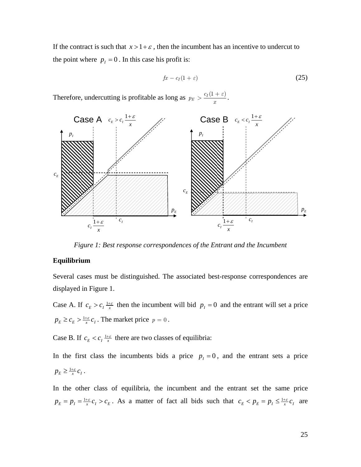If the contract is such that  $x > 1 + \varepsilon$ , then the incumbent has an incentive to undercut to the point where  $p_l = 0$ . In this case his profit is:

$$
fx - c_I(1 + \varepsilon) \tag{25}
$$

Therefore, undercutting is profitable as long as  $p_E > \frac{c_I(1 + \varepsilon)}{x}$  $> \frac{c_I(1+\varepsilon)}{2}$ .



*Figure 1: Best response correspondences of the Entrant and the Incumbent* 

### **Equilibrium**

Several cases must be distinguished. The associated best-response correspondences are displayed in Figure 1.

Case A. If  $c_E > c_I \frac{1+\varepsilon}{x}$  then the incumbent will bid  $p_I = 0$  and the entrant will set a price  $p_E \geq c_E > \frac{1+\varepsilon}{x}c_I$ . The market price  $p = 0$ .

Case B. If  $c_E < c_I \frac{1+\varepsilon}{x}$  there are two classes of equilibria:

In the first class the incumbents bids a price  $p_1 = 0$ , and the entrant sets a price  $p_E \geq \frac{1+\varepsilon}{x} c_I$ .

In the other class of equilibria, the incumbent and the entrant set the same price  $p_E = p_I = \frac{1+\varepsilon}{x} c_I > c_E$ . As a matter of fact all bids such that  $c_E < p_E = p_I \leq \frac{1+\varepsilon}{x} c_I$  are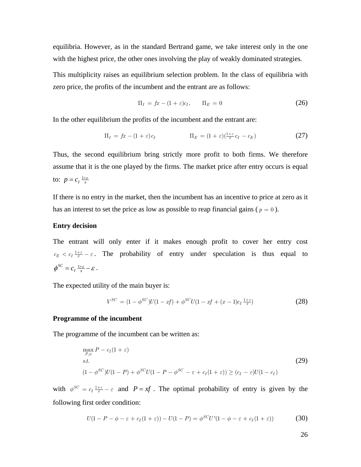equilibria. However, as in the standard Bertrand game, we take interest only in the one with the highest price, the other ones involving the play of weakly dominated strategies*.*

This multiplicity raises an equilibrium selection problem. In the class of equilibria with zero price, the profits of the incumbent and the entrant are as follows:

$$
\Pi_I = fx - (1 + \varepsilon)c_I, \qquad \Pi_E = 0 \tag{26}
$$

In the other equilibrium the profits of the incumbent and the entrant are:

$$
\Pi_I = fx - (1 + \varepsilon)c_I \qquad \qquad \Pi_E = (1 + \varepsilon)(\frac{1 + \varepsilon}{x}c_I - c_E) \tag{27}
$$

Thus, the second equilibrium bring strictly more profit to both firms. We therefore assume that it is the one played by the firms. The market price after entry occurs is equal to:  $p = c_1 \frac{1+\varepsilon}{x}$ 

If there is no entry in the market, then the incumbent has an incentive to price at zero as it has an interest to set the price as low as possible to reap financial gains ( $p = 0$ ).

#### **Entry decision**

The entrant will only enter if it makes enough profit to cover her entry cost  $c_E < c_I \frac{1+\varepsilon}{x} - \varepsilon$ . The probability of entry under speculation is thus equal to  $\phi^{SC} = c_I \frac{1+\varepsilon}{x} - \varepsilon$ .

The expected utility of the main buyer is:

$$
V^{SC} = (1 - \phi^{SC})U(1 - xf) + \phi^{SC}U(1 - xf + (x - 1)c_I \frac{1 + \varepsilon}{x})
$$
\n(28)

#### **Programme of the incumbent**

The programme of the incumbent can be written as:

$$
\max_{P,\phi} P - c_I(1+\varepsilon)
$$
  
s.t. (29)  

$$
(1-\phi^{SC})U(1-P) + \phi^{SC}U(1-P - \phi^{SC} - \varepsilon + c_I(1+\varepsilon)) \ge (c_I - \varepsilon)U(1-c_I)
$$

with  $\phi^{SC} = c_I \frac{1+\epsilon}{x} - \epsilon$  and  $P = xf$ . The optimal probability of entry is given by the following first order condition:

$$
U(1 - P - \phi - \varepsilon + c_I(1 + \varepsilon)) - U(1 - P) = \phi^{SC}U'(1 - \phi - \varepsilon + c_I(1 + \varepsilon))
$$
 (30)

26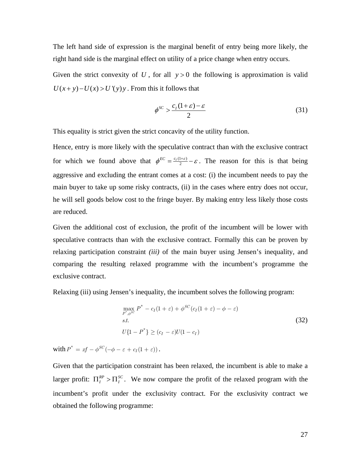The left hand side of expression is the marginal benefit of entry being more likely, the right hand side is the marginal effect on utility of a price change when entry occurs.

Given the strict convexity of U, for all  $y > 0$  the following is approximation is valid  $U(x+y) - U(x) > U'(y)y$ . From this it follows that

$$
\phi^{sc} > \frac{c_1(1+\varepsilon) - \varepsilon}{2} \tag{31}
$$

This equality is strict given the strict concavity of the utility function.

Hence, entry is more likely with the speculative contract than with the exclusive contract for which we found above that  $\phi^{EC} = \frac{c_I(1+\varepsilon)}{2} - \varepsilon$ . The reason for this is that being aggressive and excluding the entrant comes at a cost: (i) the incumbent needs to pay the main buyer to take up some risky contracts, (ii) in the cases where entry does not occur, he will sell goods below cost to the fringe buyer. By making entry less likely those costs are reduced.

Given the additional cost of exclusion, the profit of the incumbent will be lower with speculative contracts than with the exclusive contract. Formally this can be proven by relaxing participation constraint *(iii)* of the main buyer using Jensen's inequality, and comparing the resulting relaxed programme with the incumbent's programme the exclusive contract.

Relaxing (iii) using Jensen's inequality, the incumbent solves the following program:

$$
\max_{P^*,\phi^{SC}} P^* - c_I(1+\varepsilon) + \phi^{SC}(c_I(1+\varepsilon) - \phi - \varepsilon)
$$
  
s.t.  

$$
U\{1 - P^*\} \ge (c_I - \varepsilon)U(1 - c_I)
$$
 (32)

with  $P^* = xf - \phi^{SC}(-\phi - \varepsilon + c_I(1 + \varepsilon))$ .

Given that the participation constraint has been relaxed, the incumbent is able to make a larger profit:  $\Pi_I^{RP} > \Pi_I^{SC}$ . We now compare the profit of the relaxed program with the incumbent's profit under the exclusivity contract. For the exclusivity contract we obtained the following programme: